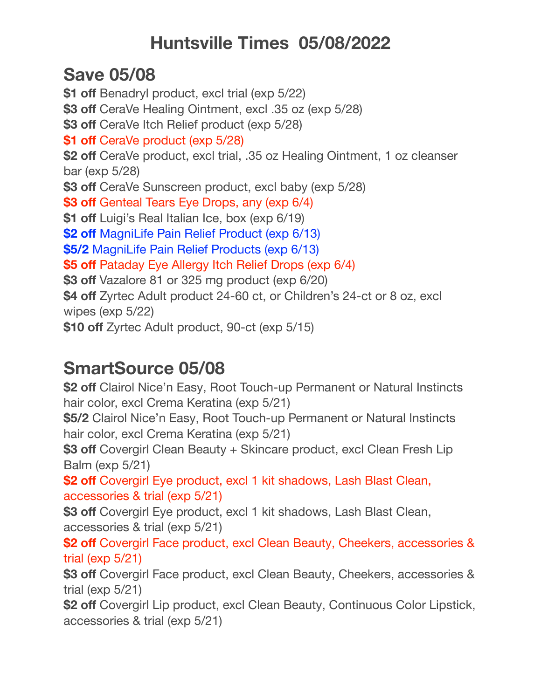## **Huntsville Times 05/08/2022**

## **Save 05/08**

**\$1 off** Benadryl product, excl trial (exp 5/22) **\$3 off** CeraVe Healing Ointment, excl .35 oz (exp 5/28) **\$3 off** CeraVe Itch Relief product (exp 5/28) **\$1 off** CeraVe product (exp 5/28) **\$2 off** CeraVe product, excl trial, .35 oz Healing Ointment, 1 oz cleanser bar (exp 5/28) **\$3 off** CeraVe Sunscreen product, excl baby (exp 5/28) **\$3 off** Genteal Tears Eye Drops, any (exp 6/4) **\$1 off** Luigi's Real Italian Ice, box (exp 6/19) **\$2 off** MagniLife Pain Relief Product (exp 6/13) **\$5/2** MagniLife Pain Relief Products (exp 6/13) **\$5 off** Pataday Eye Allergy Itch Relief Drops (exp 6/4) **\$3 off** Vazalore 81 or 325 mg product (exp 6/20) **\$4 off** Zyrtec Adult product 24-60 ct, or Children's 24-ct or 8 oz, excl wipes (exp 5/22) **\$10 off** Zyrtec Adult product, 90-ct (exp 5/15)

## **SmartSource 05/08**

**\$2 off** Clairol Nice'n Easy, Root Touch-up Permanent or Natural Instincts hair color, excl Crema Keratina (exp 5/21) **\$5/2** Clairol Nice'n Easy, Root Touch-up Permanent or Natural Instincts hair color, excl Crema Keratina (exp 5/21) **\$3 off** Covergirl Clean Beauty + Skincare product, excl Clean Fresh Lip Balm (exp 5/21) **\$2 off** Covergirl Eye product, excl 1 kit shadows, Lash Blast Clean, accessories & trial (exp 5/21) **\$3 off** Covergirl Eye product, excl 1 kit shadows, Lash Blast Clean, accessories & trial (exp 5/21) **\$2 off** Covergirl Face product, excl Clean Beauty, Cheekers, accessories & trial (exp 5/21) **\$3 off** Covergirl Face product, excl Clean Beauty, Cheekers, accessories & trial (exp 5/21) **\$2 off** Covergirl Lip product, excl Clean Beauty, Continuous Color Lipstick, accessories & trial (exp 5/21)